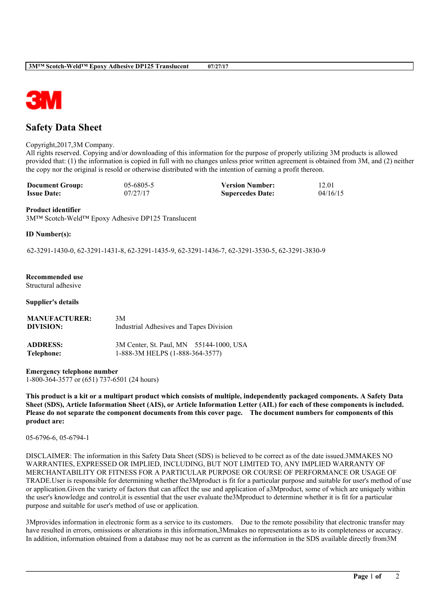

# **Safety Data Sheet**

#### Copyright,2017,3M Company.

All rights reserved. Copying and/or downloading of this information for the purpose of properly utilizing 3M products is allowed provided that: (1) the information is copied in full with no changes unless prior written agreement is obtained from 3M, and (2) neither the copy nor the original is resold or otherwise distributed with the intention of earning a profit thereon.

| <b>Document Group:</b> | $05 - 6805 - 5$ | <b>Version Number:</b>  | 12.01    |
|------------------------|-----------------|-------------------------|----------|
| <b>Issue Date:</b>     | 07/27/17        | <b>Supercedes Date:</b> | 04/16/15 |

#### **Product identifier**

3M™ Scotch-Weld™ Epoxy Adhesive DP125 Translucent

# **ID Number(s):**

62-3291-1430-0, 62-3291-1431-8, 62-3291-1435-9, 62-3291-1436-7, 62-3291-3530-5, 62-3291-3830-9

#### **Recommended use**

Structural adhesive

#### **Supplier's details**

| <b>MANUFACTURER:</b> | 3M                                      |
|----------------------|-----------------------------------------|
| DIVISION:            | Industrial Adhesives and Tapes Division |
| <b>ADDRESS:</b>      | 3M Center, St. Paul, MN 55144-1000, USA |
| Telephone:           | 1-888-3M HELPS (1-888-364-3577)         |

**Emergency telephone number** 1-800-364-3577 or (651) 737-6501 (24 hours)

This product is a kit or a multipart product which consists of multiple, independently packaged components. A Safety Data Sheet (SDS), Article Information Sheet (AIS), or Article Information Letter (AIL) for each of these components is included. Please do not separate the component documents from this cover page. The document numbers for components of this **product are:**

05-6796-6, 05-6794-1

DISCLAIMER: The information in this Safety Data Sheet (SDS) is believed to be correct as of the date issued.3MMAKES NO WARRANTIES, EXPRESSED OR IMPLIED, INCLUDING, BUT NOT LIMITED TO, ANY IMPLIED WARRANTY OF MERCHANTABILITY OR FITNESS FOR A PARTICULAR PURPOSE OR COURSE OF PERFORMANCE OR USAGE OF TRADE.User is responsible for determining whether the3Mproduct is fit for a particular purpose and suitable for user's method of use or application.Given the variety of factors that can affect the use and application of a3Mproduct, some of which are uniquely within the user's knowledge and control,it is essential that the user evaluate the3Mproduct to determine whether it is fit for a particular purpose and suitable for user's method of use or application.

3Mprovides information in electronic form as a service to its customers. Due to the remote possibility that electronic transfer may have resulted in errors, omissions or alterations in this information,3Mmakes no representations as to its completeness or accuracy. In addition, information obtained from a database may not be as current as the information in the SDS available directly from3M

**\_\_\_\_\_\_\_\_\_\_\_\_\_\_\_\_\_\_\_\_\_\_\_\_\_\_\_\_\_\_\_\_\_\_\_\_\_\_\_\_\_\_\_\_\_\_\_\_\_\_\_\_\_\_\_\_\_\_\_\_\_\_\_\_\_\_\_\_\_\_\_\_\_\_\_\_\_\_\_\_\_\_\_\_\_\_\_\_\_\_\_\_\_\_\_\_\_\_\_\_\_\_\_\_**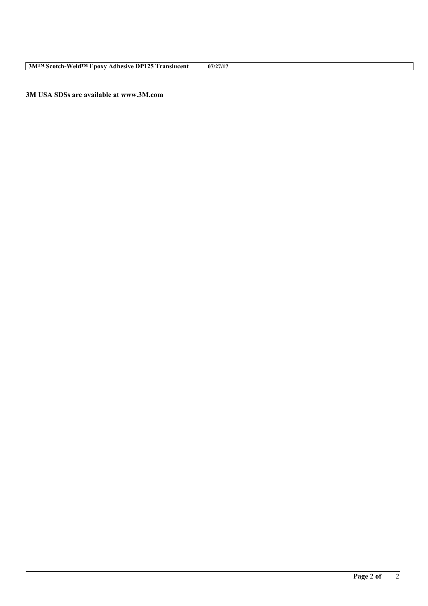**3M USA SDSs are available at www.3M.com**

**\_\_\_\_\_\_\_\_\_\_\_\_\_\_\_\_\_\_\_\_\_\_\_\_\_\_\_\_\_\_\_\_\_\_\_\_\_\_\_\_\_\_\_\_\_\_\_\_\_\_\_\_\_\_\_\_\_\_\_\_\_\_\_\_\_\_\_\_\_\_\_\_\_\_\_\_\_\_\_\_\_\_\_\_\_\_\_\_\_\_\_\_\_\_\_\_\_\_\_\_\_\_\_\_**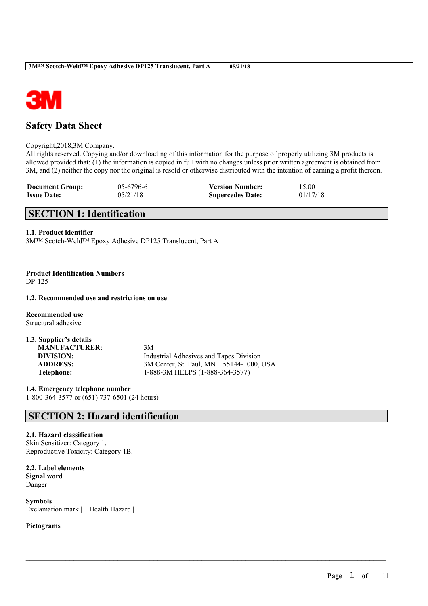

# **Safety Data Sheet**

Copyright,2018,3M Company.

All rights reserved. Copying and/or downloading of this information for the purpose of properly utilizing 3M products is allowed provided that: (1) the information is copied in full with no changes unless prior written agreement is obtained from 3M, and (2) neither the copy nor the original is resold or otherwise distributed with the intention of earning a profit thereon.

 $\mathcal{L}_\mathcal{L} = \mathcal{L}_\mathcal{L} = \mathcal{L}_\mathcal{L} = \mathcal{L}_\mathcal{L} = \mathcal{L}_\mathcal{L} = \mathcal{L}_\mathcal{L} = \mathcal{L}_\mathcal{L} = \mathcal{L}_\mathcal{L} = \mathcal{L}_\mathcal{L} = \mathcal{L}_\mathcal{L} = \mathcal{L}_\mathcal{L} = \mathcal{L}_\mathcal{L} = \mathcal{L}_\mathcal{L} = \mathcal{L}_\mathcal{L} = \mathcal{L}_\mathcal{L} = \mathcal{L}_\mathcal{L} = \mathcal{L}_\mathcal{L}$ 

| <b>Document Group:</b> | $05-6796-6$ | <b>Version Number:</b>  | 15.00    |
|------------------------|-------------|-------------------------|----------|
| <b>Issue Date:</b>     | 05/21/18    | <b>Supercedes Date:</b> | 01/17/18 |

# **SECTION 1: Identification**

# **1.1. Product identifier**

3M™ Scotch-Weld™ Epoxy Adhesive DP125 Translucent, Part A

**Product Identification Numbers** DP-125

## **1.2. Recommended use and restrictions on use**

**Recommended use** Structural adhesive

| 1.3. Supplier's details |                                         |
|-------------------------|-----------------------------------------|
| <b>MANUFACTURER:</b>    | 3M                                      |
| DIVISION:               | Industrial Adhesives and Tapes Division |
| <b>ADDRESS:</b>         | 3M Center, St. Paul, MN 55144-1000, USA |
| Telephone:              | 1-888-3M HELPS (1-888-364-3577)         |

**1.4. Emergency telephone number** 1-800-364-3577 or (651) 737-6501 (24 hours)

# **SECTION 2: Hazard identification**

# **2.1. Hazard classification**

Skin Sensitizer: Category 1. Reproductive Toxicity: Category 1B.

**2.2. Label elements Signal word** Danger

**Symbols** Exclamation mark | Health Hazard |

# **Pictograms**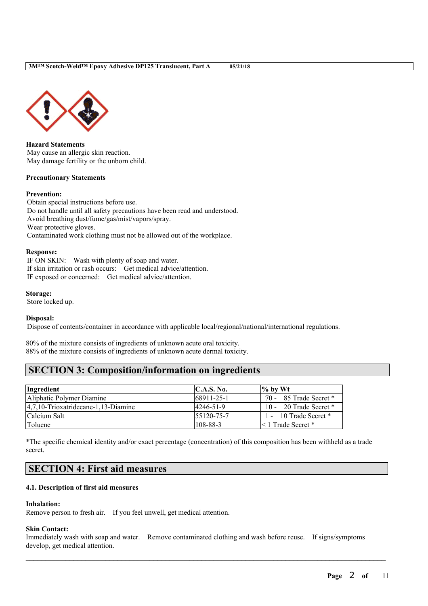



**Hazard Statements** May cause an allergic skin reaction. May damage fertility or the unborn child.

#### **Precautionary Statements**

#### **Prevention:**

Obtain special instructions before use. Do not handle until all safety precautions have been read and understood. Avoid breathing dust/fume/gas/mist/vapors/spray. Wear protective gloves. Contaminated work clothing must not be allowed out of the workplace.

#### **Response:**

IF ON SKIN: Wash with plenty of soap and water. If skin irritation or rash occurs: Get medical advice/attention. IF exposed or concerned: Get medical advice/attention.

**Storage:**

Store locked up.

#### **Disposal:**

Dispose of contents/container in accordance with applicable local/regional/national/international regulations.

80% of the mixture consists of ingredients of unknown acute oral toxicity. 88% of the mixture consists of ingredients of unknown acute dermal toxicity.

# **SECTION 3: Composition/information on ingredients**

| Ingredient                              | C.A.S. No.     | $%$ by Wt                 |
|-----------------------------------------|----------------|---------------------------|
| Aliphatic Polymer Diamine               | 68911-25-1     | 70 - 85 Trade Secret *    |
| $ 4,7,10$ -Trioxatridecane-1,13-Diamine | 4246-51-9      | 10 - 20 Trade Secret $*$  |
| Calcium Salt                            | 155120-75-7    | $1 - 10$ Trade Secret $*$ |
| Toluene                                 | $108 - 88 - 3$ | < 1 Trade Secret *        |

\*The specific chemical identity and/or exact percentage (concentration) of this composition has been withheld as a trade secret.

# **SECTION 4: First aid measures**

# **4.1. Description of first aid measures**

#### **Inhalation:**

Remove person to fresh air. If you feel unwell, get medical attention.

#### **Skin Contact:**

Immediately wash with soap and water. Remove contaminated clothing and wash before reuse. If signs/symptoms develop, get medical attention.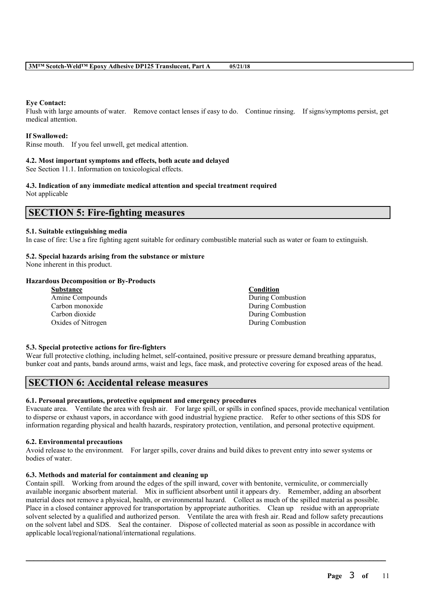# **Eye Contact:**

Flush with large amounts of water. Remove contact lenses if easy to do. Continue rinsing. If signs/symptoms persist, get medical attention.

# **If Swallowed:**

Rinse mouth. If you feel unwell, get medical attention.

# **4.2. Most important symptoms and effects, both acute and delayed**

See Section 11.1. Information on toxicological effects.

#### **4.3. Indication of any immediate medical attention and special treatment required** Not applicable

# **SECTION 5: Fire-fighting measures**

#### **5.1. Suitable extinguishing media**

In case of fire: Use a fire fighting agent suitable for ordinary combustible material such as water or foam to extinguish.

# **5.2. Special hazards arising from the substance or mixture**

None inherent in this product.

# **Hazardous Decomposition or By-Products**

| <b>Substance</b>   | <b>Condition</b>  |
|--------------------|-------------------|
| Amine Compounds    | During Combustion |
| Carbon monoxide    | During Combustion |
| Carbon dioxide     | During Combustion |
| Oxides of Nitrogen | During Combustion |
|                    |                   |

# **5.3. Special protective actions for fire-fighters**

Wear full protective clothing, including helmet, self-contained, positive pressure or pressure demand breathing apparatus, bunker coat and pants, bands around arms, waist and legs, face mask, and protective covering for exposed areas of the head.

# **SECTION 6: Accidental release measures**

# **6.1. Personal precautions, protective equipment and emergency procedures**

Evacuate area. Ventilate the area with fresh air. For large spill, or spills in confined spaces, provide mechanical ventilation to disperse or exhaust vapors, in accordance with good industrial hygiene practice. Refer to other sections of this SDS for information regarding physical and health hazards, respiratory protection, ventilation, and personal protective equipment.

# **6.2. Environmental precautions**

Avoid release to the environment. For larger spills, cover drains and build dikes to prevent entry into sewer systems or bodies of water.

# **6.3. Methods and material for containment and cleaning up**

Contain spill. Working from around the edges of the spill inward, cover with bentonite, vermiculite, or commercially available inorganic absorbent material. Mix in sufficient absorbent until it appears dry. Remember, adding an absorbent material does not remove a physical, health, or environmental hazard. Collect as much of the spilled material as possible. Place in a closed container approved for transportation by appropriate authorities. Clean up residue with an appropriate solvent selected by a qualified and authorized person. Ventilate the area with fresh air. Read and follow safety precautions on the solvent label and SDS. Seal the container. Dispose of collected material as soon as possible in accordance with applicable local/regional/national/international regulations.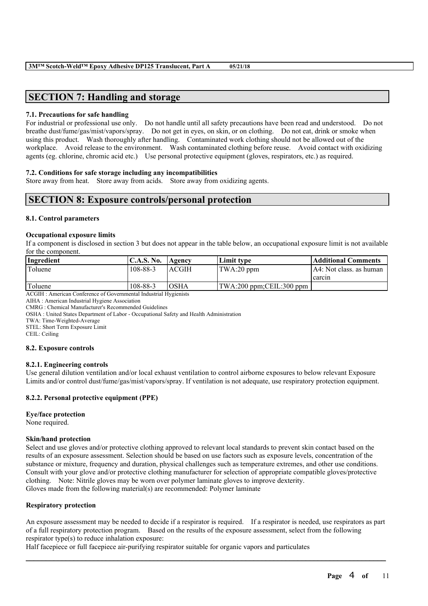# **SECTION 7: Handling and storage**

# **7.1. Precautions for safe handling**

For industrial or professional use only. Do not handle until all safety precautions have been read and understood. Do not breathe dust/fume/gas/mist/vapors/spray. Do not get in eyes, on skin, or on clothing. Do not eat, drink or smoke when using this product. Wash thoroughly after handling. Contaminated work clothing should not be allowed out of the workplace. Avoid release to the environment. Wash contaminated clothing before reuse. Avoid contact with oxidizing agents (eg. chlorine, chromic acid etc.) Use personal protective equipment (gloves, respirators, etc.) as required.

# **7.2. Conditions for safe storage including any incompatibilities**

Store away from heat. Store away from acids. Store away from oxidizing agents.

# **SECTION 8: Exposure controls/personal protection**

# **8.1. Control parameters**

# **Occupational exposure limits**

If a component is disclosed in section 3 but does not appear in the table below, an occupational exposure limit is not available for the component.

| Ingredient | IC.A.S. No. | Agency      | Limit tvpe                | Additional Comments      |
|------------|-------------|-------------|---------------------------|--------------------------|
| Toluene    | 108-88-3    | ACGIH       | TWA:20 ppm                | IA4: Not class. as human |
|            |             |             |                           | carcin                   |
| Toluene    | 108-88-3    | <b>OSHA</b> | TWA:200 ppm; CEIL:300 ppm |                          |

ACGIH : American Conference of Governmental Industrial Hygienists

AIHA : American Industrial Hygiene Association

CMRG : Chemical Manufacturer's Recommended Guidelines

OSHA : United States Department of Labor - Occupational Safety and Health Administration

TWA: Time-Weighted-Average

STEL: Short Term Exposure Limit

CEIL: Ceiling

# **8.2. Exposure controls**

# **8.2.1. Engineering controls**

Use general dilution ventilation and/or local exhaust ventilation to control airborne exposures to below relevant Exposure Limits and/or control dust/fume/gas/mist/vapors/spray. If ventilation is not adequate, use respiratory protection equipment.

# **8.2.2. Personal protective equipment (PPE)**

# **Eye/face protection**

None required.

# **Skin/hand protection**

Select and use gloves and/or protective clothing approved to relevant local standards to prevent skin contact based on the results of an exposure assessment. Selection should be based on use factors such as exposure levels, concentration of the substance or mixture, frequency and duration, physical challenges such as temperature extremes, and other use conditions. Consult with your glove and/or protective clothing manufacturer for selection of appropriate compatible gloves/protective clothing. Note: Nitrile gloves may be worn over polymer laminate gloves to improve dexterity. Gloves made from the following material(s) are recommended: Polymer laminate

# **Respiratory protection**

An exposure assessment may be needed to decide if a respirator is required. If a respirator is needed, use respirators as part of a full respiratory protection program. Based on the results of the exposure assessment, select from the following respirator type(s) to reduce inhalation exposure:

 $\mathcal{L}_\mathcal{L} = \mathcal{L}_\mathcal{L} = \mathcal{L}_\mathcal{L} = \mathcal{L}_\mathcal{L} = \mathcal{L}_\mathcal{L} = \mathcal{L}_\mathcal{L} = \mathcal{L}_\mathcal{L} = \mathcal{L}_\mathcal{L} = \mathcal{L}_\mathcal{L} = \mathcal{L}_\mathcal{L} = \mathcal{L}_\mathcal{L} = \mathcal{L}_\mathcal{L} = \mathcal{L}_\mathcal{L} = \mathcal{L}_\mathcal{L} = \mathcal{L}_\mathcal{L} = \mathcal{L}_\mathcal{L} = \mathcal{L}_\mathcal{L}$ 

Half facepiece or full facepiece air-purifying respirator suitable for organic vapors and particulates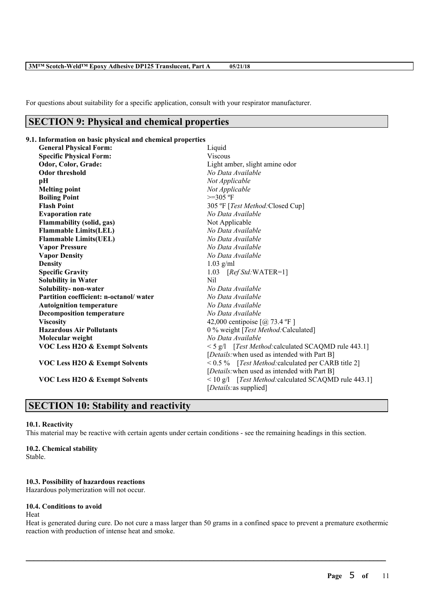For questions about suitability for a specific application, consult with your respirator manufacturer.

# **SECTION 9: Physical and chemical properties**

# **9.1. Information on basic physical and chemical properties**

| <b>General Physical Form:</b>             | Liquid                                                   |  |  |
|-------------------------------------------|----------------------------------------------------------|--|--|
| <b>Specific Physical Form:</b>            | <b>Viscous</b>                                           |  |  |
| Odor, Color, Grade:                       | Light amber, slight amine odor                           |  |  |
| <b>Odor threshold</b>                     | No Data Available                                        |  |  |
| pH                                        | Not Applicable                                           |  |  |
| <b>Melting point</b>                      | Not Applicable                                           |  |  |
| <b>Boiling Point</b>                      | $>=305 °F$                                               |  |  |
| <b>Flash Point</b>                        | 305 °F [Test Method: Closed Cup]                         |  |  |
| <b>Evaporation rate</b>                   | No Data Available                                        |  |  |
| Flammability (solid, gas)                 | Not Applicable                                           |  |  |
| <b>Flammable Limits(LEL)</b>              | No Data Available                                        |  |  |
| <b>Flammable Limits(UEL)</b>              | No Data Available                                        |  |  |
| <b>Vapor Pressure</b>                     | No Data Available                                        |  |  |
| <b>Vapor Density</b>                      | No Data Available                                        |  |  |
| <b>Density</b>                            | $1.03$ g/ml                                              |  |  |
| <b>Specific Gravity</b>                   | 1.03 $[RefStd:WATER=1]$                                  |  |  |
| <b>Solubility in Water</b>                | Nil                                                      |  |  |
| Solubility- non-water                     | No Data Available                                        |  |  |
| Partition coefficient: n-octanol/water    | No Data Available                                        |  |  |
| <b>Autoignition temperature</b>           | No Data Available                                        |  |  |
| <b>Decomposition temperature</b>          | No Data Available                                        |  |  |
| <b>Viscosity</b>                          | 42,000 centipoise $\lceil \omega \rceil$ 73.4 °F ]       |  |  |
| <b>Hazardous Air Pollutants</b>           | 0 % weight [Test Method:Calculated]                      |  |  |
| Molecular weight                          | No Data Available                                        |  |  |
| <b>VOC Less H2O &amp; Exempt Solvents</b> | $\leq$ 5 g/l [Test Method: calculated SCAQMD rule 443.1] |  |  |
|                                           | [ <i>Details</i> : when used as intended with Part B]    |  |  |
| <b>VOC Less H2O &amp; Exempt Solvents</b> | < 0.5 % [Test Method: calculated per CARB title 2]       |  |  |
|                                           | [ <i>Details</i> : when used as intended with Part B]    |  |  |
| VOC Less H2O & Exempt Solvents            | <10 g/l [Test Method: calculated SCAQMD rule 443.1]      |  |  |
|                                           | [ <i>Details</i> : as supplied]                          |  |  |

# **SECTION 10: Stability and reactivity**

#### **10.1. Reactivity**

This material may be reactive with certain agents under certain conditions - see the remaining headings in this section.

## **10.2. Chemical stability**

Stable.

# **10.3. Possibility of hazardous reactions**

Hazardous polymerization will not occur.

# **10.4. Conditions to avoid**

#### Heat

Heat is generated during cure. Do not cure a mass larger than 50 grams in a confined space to prevent a premature exothermic reaction with production of intense heat and smoke.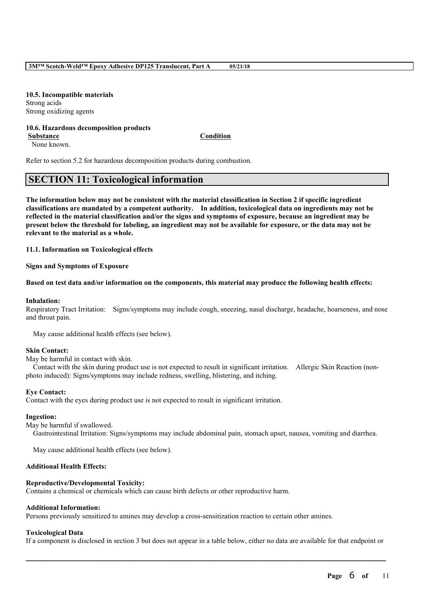**10.5. Incompatible materials** Strong acids Strong oxidizing agents

## **10.6. Hazardous decomposition products**

**Substance Condition**

None known.

Refer to section 5.2 for hazardous decomposition products during combustion.

# **SECTION 11: Toxicological information**

The information below may not be consistent with the material classification in Section 2 if specific ingredient **classifications are mandated by a competent authority. In addition, toxicological data on ingredients may not be** reflected in the material classification and/or the signs and symptoms of exposure, because an ingredient may be present below the threshold for labeling, an ingredient may not be available for exposure, or the data may not be **relevant to the material as a whole.**

**11.1. Information on Toxicological effects**

**Signs and Symptoms of Exposure**

#### Based on test data and/or information on the components, this material may produce the following health effects:

#### **Inhalation:**

Respiratory Tract Irritation: Signs/symptoms may include cough, sneezing, nasal discharge, headache, hoarseness, and nose and throat pain.

May cause additional health effects (see below).

#### **Skin Contact:**

May be harmful in contact with skin.

Contact with the skin during product use is not expected to result in significant irritation. Allergic Skin Reaction (nonphoto induced): Signs/symptoms may include redness, swelling, blistering, and itching.

# **Eye Contact:**

Contact with the eyes during product use is not expected to result in significant irritation.

#### **Ingestion:**

May be harmful if swallowed.

Gastrointestinal Irritation: Signs/symptoms may include abdominal pain, stomach upset, nausea, vomiting and diarrhea.

May cause additional health effects (see below).

#### **Additional Health Effects:**

# **Reproductive/Developmental Toxicity:**

Contains a chemical or chemicals which can cause birth defects or other reproductive harm.

#### **Additional Information:**

Persons previously sensitized to amines may develop a cross-sensitization reaction to certain other amines.

#### **Toxicological Data**

If a component is disclosed in section 3 but does not appear in a table below, either no data are available for that endpoint or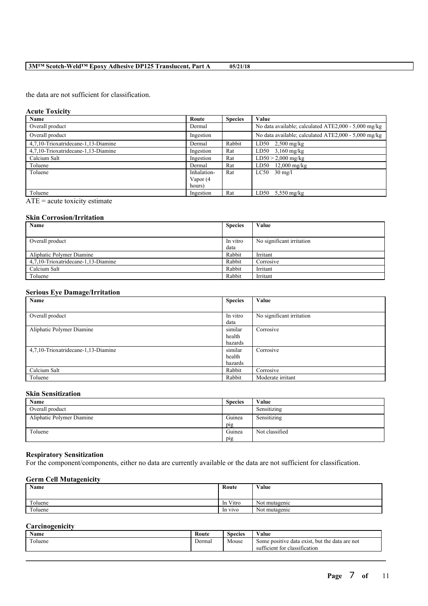the data are not sufficient for classification.

#### **Acute Toxicity**

| Name                                | Route       | <b>Species</b> | Value                                                |
|-------------------------------------|-------------|----------------|------------------------------------------------------|
| Overall product                     | Dermal      |                | No data available; calculated ATE2,000 - 5,000 mg/kg |
| Overall product                     | Ingestion   |                | No data available; calculated ATE2,000 - 5,000 mg/kg |
| 4.7.10-Trioxatridecane-1.13-Diamine | Dermal      | Rabbit         | LD50 $2,500$ mg/kg                                   |
| 4.7.10-Trioxatridecane-1.13-Diamine | Ingestion   | Rat            | $LD50$ 3,160 mg/kg                                   |
| Calcium Salt                        | Ingestion   | Rat            | $LD50 > 2,000$ mg/kg                                 |
| Toluene                             | Dermal      | Rat            | $LD50$ 12,000 mg/kg                                  |
| Toluene                             | Inhalation- | Rat            | LC50<br>$30 \text{ mg/l}$                            |
|                                     | Vapor (4    |                |                                                      |
|                                     | hours)      |                |                                                      |
| Toluene                             | Ingestion   | Rat            | $5,550 \text{ mg/kg}$<br>LD50                        |

 $\overline{ATE}$  = acute toxicity estimate

# **Skin Corrosion/Irritation**

| Name                                | <b>Species</b> | Value                     |
|-------------------------------------|----------------|---------------------------|
|                                     |                |                           |
| Overall product                     | In vitro       | No significant irritation |
|                                     | data           |                           |
| Aliphatic Polymer Diamine           | Rabbit         | Irritant                  |
| 4,7,10-Trioxatridecane-1,13-Diamine | Rabbit         | Corrosive                 |
| Calcium Salt                        | Rabbit         | Irritant                  |
| Toluene                             | Rabbit         | Irritant                  |

# **Serious Eye Damage/Irritation**

| $\cdot$<br>$\epsilon$               |                |                           |
|-------------------------------------|----------------|---------------------------|
| Name                                | <b>Species</b> | Value                     |
|                                     |                |                           |
| Overall product                     | In vitro       | No significant irritation |
|                                     | data           |                           |
| Aliphatic Polymer Diamine           | similar        | Corrosive                 |
|                                     | health         |                           |
|                                     | hazards        |                           |
| 4.7.10-Trioxatridecane-1.13-Diamine | similar        | Corrosive                 |
|                                     | health         |                           |
|                                     | hazards        |                           |
| Calcium Salt                        | Rabbit         | Corrosive                 |
| Toluene                             | Rabbit         | Moderate irritant         |

#### **Skin Sensitization**

| Name                      | <b>Species</b> | Value          |
|---------------------------|----------------|----------------|
| Overall product           |                | Sensitizing    |
| Aliphatic Polymer Diamine | Guinea         | Sensitizing    |
|                           | pig            |                |
| Toluene                   | Guinea         | Not classified |
|                           | pig            |                |

## **Respiratory Sensitization**

For the component/components, either no data are currently available or the data are not sufficient for classification.

# **Germ Cell Mutagenicity**

| Name    | Route    | Value         |
|---------|----------|---------------|
| Toluene | In Vitro | Not mutagenic |
| Toluene | In vivo  | Not mutagenic |

# **Carcinogenicity**

| $\rightarrow$ $\rightarrow$<br>Name | Route  | <b>Species</b> | $\mathbf{v}$<br>Value                                                                             |
|-------------------------------------|--------|----------------|---------------------------------------------------------------------------------------------------|
| $\sim$<br>oluene                    | Dermal | Mouse          | but the data are not<br>a data exist.<br>Some positive<br>. .<br>classification<br>sufficient for |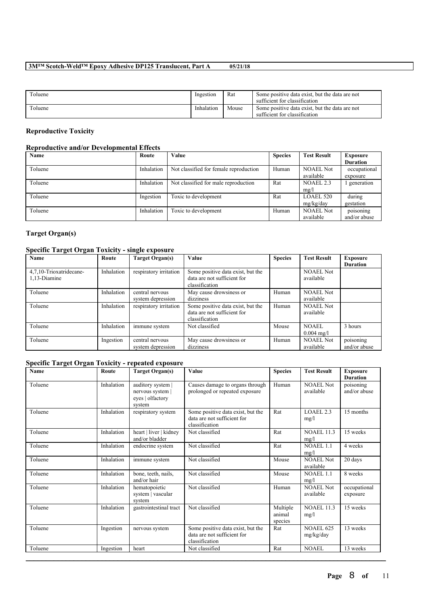| Toluene | Ingestion  | Rat   | Some positive data exist, but the data are not<br>sufficient for classification |
|---------|------------|-------|---------------------------------------------------------------------------------|
| Toluene | Inhalation | Mouse | Some positive data exist, but the data are not<br>sufficient for classification |

# **Reproductive Toxicity**

# **Reproductive and/or Developmental Effects**

| Name    | Route      | Value                                  | <b>Species</b> | <b>Test Result</b> | <b>Exposure</b> |
|---------|------------|----------------------------------------|----------------|--------------------|-----------------|
|         |            |                                        |                |                    | <b>Duration</b> |
| Toluene | Inhalation | Not classified for female reproduction | Human          | <b>NOAEL Not</b>   | occupational    |
|         |            |                                        |                | available          | exposure        |
| Toluene | Inhalation | Not classified for male reproduction   | Rat            | NOAEL 2.3          | generation      |
|         |            |                                        |                | mg/l               |                 |
| Toluene | Ingestion  | Toxic to development                   | Rat            | <b>LOAEL 520</b>   | during          |
|         |            |                                        |                | mg/kg/day          | gestation       |
| Toluene | Inhalation | Toxic to development                   | Human          | <b>NOAEL Not</b>   | poisoning       |
|         |            |                                        |                | available          | and/or abuse    |

# **Target Organ(s)**

# **Specific Target Organ Toxicity - single exposure**

| Name                                    | Route      | Target Organ(s)                      | Value                                                                              | <b>Species</b> | <b>Test Result</b>            | <b>Exposure</b><br><b>Duration</b> |
|-----------------------------------------|------------|--------------------------------------|------------------------------------------------------------------------------------|----------------|-------------------------------|------------------------------------|
| 4.7.10-Trioxatridecane-<br>1,13-Diamine | Inhalation | respiratory irritation               | Some positive data exist, but the<br>data are not sufficient for<br>classification |                | <b>NOAEL Not</b><br>available |                                    |
| Toluene                                 | Inhalation | central nervous<br>system depression | May cause drowsiness or<br>dizziness                                               | Human          | <b>NOAEL Not</b><br>available |                                    |
| Toluene                                 | Inhalation | respiratory irritation               | Some positive data exist, but the<br>data are not sufficient for<br>classification | Human          | <b>NOAEL Not</b><br>available |                                    |
| Toluene                                 | Inhalation | immune system                        | Not classified                                                                     | Mouse          | NOAEL<br>$0.004 \text{ mg/l}$ | 3 hours                            |
| Toluene                                 | Ingestion  | central nervous<br>system depression | May cause drowsiness or<br>dizziness                                               | Human          | <b>NOAEL Not</b><br>available | poisoning<br>and/or abuse          |

# **Specific Target Organ Toxicity - repeated exposure**

| <b>Name</b> | Route      | Target Organ(s)                                                   | Value                                                                              | <b>Species</b>                | <b>Test Result</b>            | <b>Exposure</b><br><b>Duration</b> |
|-------------|------------|-------------------------------------------------------------------|------------------------------------------------------------------------------------|-------------------------------|-------------------------------|------------------------------------|
| Toluene     | Inhalation | auditory system<br>nervous system  <br>eyes   olfactory<br>system | Causes damage to organs through<br>prolonged or repeated exposure                  | Human                         | NOAEL Not<br>available        | poisoning<br>and/or abuse          |
| Toluene     | Inhalation | respiratory system                                                | Some positive data exist, but the<br>data are not sufficient for<br>classification | Rat                           | LOAEL 2.3<br>mg/l             | 15 months                          |
| Toluene     | Inhalation | heart   liver   kidney<br>and/or bladder                          | Not classified                                                                     | Rat                           | <b>NOAEL 11.3</b><br>mg/l     | 15 weeks                           |
| Toluene     | Inhalation | endocrine system                                                  | Not classified                                                                     | Rat                           | <b>NOAEL 1.1</b><br>mg/l      | 4 weeks                            |
| Toluene     | Inhalation | immune system                                                     | Not classified                                                                     | Mouse                         | <b>NOAEL Not</b><br>available | 20 days                            |
| Toluene     | Inhalation | bone, teeth, nails,<br>and/or hair                                | Not classified                                                                     | Mouse                         | NOAEL 1.1<br>mg/l             | 8 weeks                            |
| Toluene     | Inhalation | hematopoietic<br>system   vascular<br>system                      | Not classified                                                                     | Human                         | <b>NOAEL Not</b><br>available | occupational<br>exposure           |
| Toluene     | Inhalation | gastrointestinal tract                                            | Not classified                                                                     | Multiple<br>animal<br>species | <b>NOAEL 11.3</b><br>mg/l     | 15 weeks                           |
| Toluene     | Ingestion  | nervous system                                                    | Some positive data exist, but the<br>data are not sufficient for<br>classification | Rat                           | <b>NOAEL 625</b><br>mg/kg/day | 13 weeks                           |
| Toluene     | Ingestion  | heart                                                             | Not classified                                                                     | Rat                           | <b>NOAEL</b>                  | 13 weeks                           |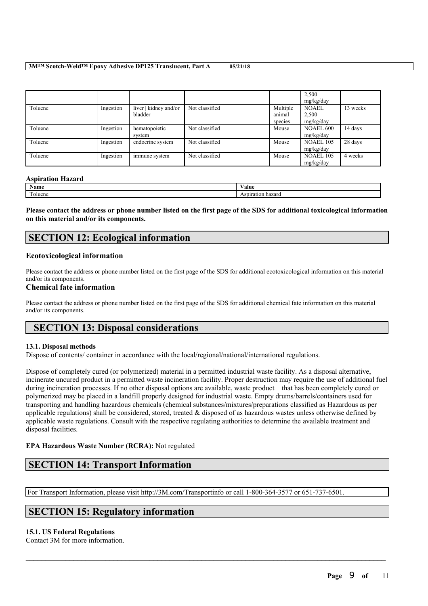|         |           |                                  |                |                               | 2,500<br>mg/kg/day                 |          |
|---------|-----------|----------------------------------|----------------|-------------------------------|------------------------------------|----------|
| Toluene | Ingestion | liver   kidney and/or<br>bladder | Not classified | Multiple<br>animal<br>species | <b>NOAEL</b><br>2,500<br>mg/kg/day | 13 weeks |
| Toluene | Ingestion | hematopoietic<br>system          | Not classified | Mouse                         | NOAEL 600<br>mg/kg/day             | 14 days  |
| Toluene | Ingestion | endocrine system                 | Not classified | Mouse                         | <b>NOAEL 105</b><br>mg/kg/day      | 28 days  |
| Toluene | Ingestion | immune system                    | Not classified | Mouse                         | <b>NOAEL 105</b><br>mg/kg/day      | 4 weeks  |

#### **Aspiration Hazard**

| $\mathbf{X}$<br>Name       | ⁄ alue                   |
|----------------------------|--------------------------|
| <b>CONTINUES</b><br>oluene | hazarı.<br>ASDH<br>EALIC |

Please contact the address or phone number listed on the first page of the SDS for additional toxicological information **on this material and/or its components.**

# **SECTION 12: Ecological information**

# **Ecotoxicological information**

Please contact the address or phone number listed on the first page of the SDS for additional ecotoxicological information on this material and/or its components.

# **Chemical fate information**

Please contact the address or phone number listed on the first page of the SDS for additional chemical fate information on this material and/or its components.

# **SECTION 13: Disposal considerations**

# **13.1. Disposal methods**

Dispose of contents/ container in accordance with the local/regional/national/international regulations.

Dispose of completely cured (or polymerized) material in a permitted industrial waste facility. As a disposal alternative, incinerate uncured product in a permitted waste incineration facility. Proper destruction may require the use of additional fuel during incineration processes. If no other disposal options are available, waste product that has been completely cured or polymerized may be placed in a landfill properly designed for industrial waste. Empty drums/barrels/containers used for transporting and handling hazardous chemicals (chemical substances/mixtures/preparations classified as Hazardous as per applicable regulations) shall be considered, stored, treated & disposed of as hazardous wastes unless otherwise defined by applicable waste regulations. Consult with the respective regulating authorities to determine the available treatment and disposal facilities.

 $\mathcal{L}_\mathcal{L} = \mathcal{L}_\mathcal{L} = \mathcal{L}_\mathcal{L} = \mathcal{L}_\mathcal{L} = \mathcal{L}_\mathcal{L} = \mathcal{L}_\mathcal{L} = \mathcal{L}_\mathcal{L} = \mathcal{L}_\mathcal{L} = \mathcal{L}_\mathcal{L} = \mathcal{L}_\mathcal{L} = \mathcal{L}_\mathcal{L} = \mathcal{L}_\mathcal{L} = \mathcal{L}_\mathcal{L} = \mathcal{L}_\mathcal{L} = \mathcal{L}_\mathcal{L} = \mathcal{L}_\mathcal{L} = \mathcal{L}_\mathcal{L}$ 

# **EPA Hazardous Waste Number (RCRA):** Not regulated

# **SECTION 14: Transport Information**

For Transport Information, please visit http://3M.com/Transportinfo or call 1-800-364-3577 or 651-737-6501.

# **SECTION 15: Regulatory information**

# **15.1. US Federal Regulations**

Contact 3M for more information.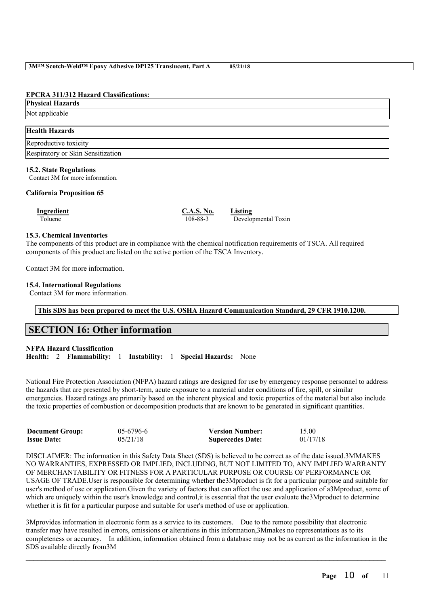#### **EPCRA 311/312 Hazard Classifications:**

| <b>Physical Hazards</b>           |  |
|-----------------------------------|--|
| Not applicable                    |  |
| <b>Health Hazards</b>             |  |
| Reproductive toxicity             |  |
| Respiratory or Skin Sensitization |  |

#### **15.2. State Regulations**

Contact 3M for more information.

#### **California Proposition 65**

| Ingredient | <b>C.A.S. No.</b> | Listing |
|------------|-------------------|---------|
| Toluene    | 108-88-3          | Develo  |

Toluene 108-88-3 Developmental Toxin

# **15.3. Chemical Inventories**

The components of this product are in compliance with the chemical notification requirements of TSCA. All required components of this product are listed on the active portion of the TSCA Inventory.

Contact 3M for more information.

# **15.4. International Regulations**

Contact 3M for more information.

**This SDS has been prepared to meet the U.S. OSHA Hazard Communication Standard, 29 CFR 1910.1200.**

# **SECTION 16: Other information**

#### **NFPA Hazard Classification**

**Health:** 2 **Flammability:** 1 **Instability:** 1 **Special Hazards:** None

National Fire Protection Association (NFPA) hazard ratings are designed for use by emergency response personnel to address the hazards that are presented by short-term, acute exposure to a material under conditions of fire, spill, or similar emergencies. Hazard ratings are primarily based on the inherent physical and toxic properties of the material but also include the toxic properties of combustion or decomposition products that are known to be generated in significant quantities.

| <b>Document Group:</b> | $05-6796-6$ | <b>Version Number:</b>  | 15.00    |
|------------------------|-------------|-------------------------|----------|
| <b>Issue Date:</b>     | 05/21/18    | <b>Supercedes Date:</b> | 01/17/18 |

DISCLAIMER: The information in this Safety Data Sheet (SDS) is believed to be correct as of the date issued.3MMAKES NO WARRANTIES, EXPRESSED OR IMPLIED, INCLUDING, BUT NOT LIMITED TO, ANY IMPLIED WARRANTY OF MERCHANTABILITY OR FITNESS FOR A PARTICULAR PURPOSE OR COURSE OF PERFORMANCE OR USAGE OF TRADE.User is responsible for determining whether the3Mproduct is fit for a particular purpose and suitable for user's method of use or application.Given the variety of factors that can affect the use and application of a3Mproduct, some of which are uniquely within the user's knowledge and control, it is essential that the user evaluate the 3Mproduct to determine whether it is fit for a particular purpose and suitable for user's method of use or application.

3Mprovides information in electronic form as a service to its customers. Due to the remote possibility that electronic transfer may have resulted in errors, omissions or alterations in this information,3Mmakes no representations as to its completeness or accuracy. In addition, information obtained from a database may not be as current as the information in the SDS available directly from3M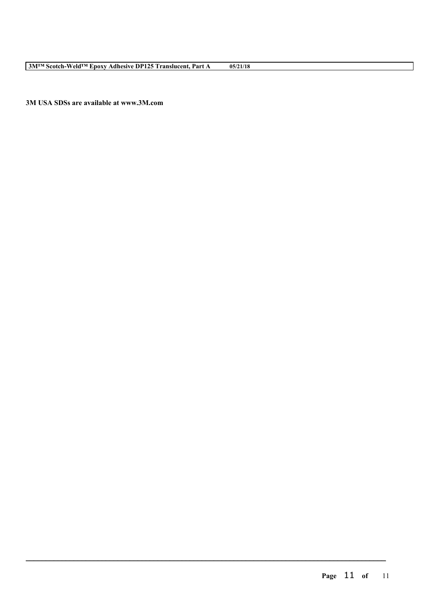**3M USA SDSs are available at www.3M.com**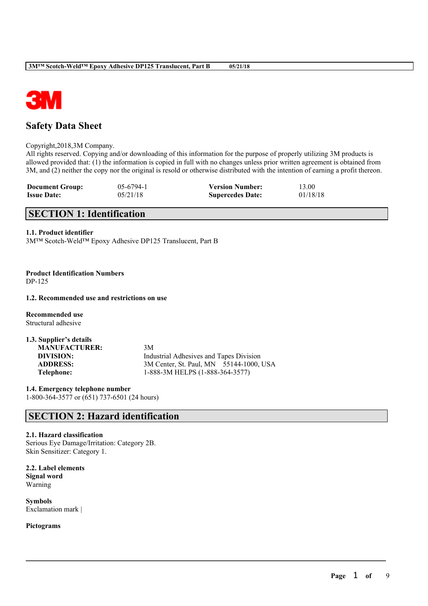

# **Safety Data Sheet**

Copyright,2018,3M Company.

All rights reserved. Copying and/or downloading of this information for the purpose of properly utilizing 3M products is allowed provided that: (1) the information is copied in full with no changes unless prior written agreement is obtained from 3M, and (2) neither the copy nor the original is resold or otherwise distributed with the intention of earning a profit thereon.

 $\mathcal{L}_\mathcal{L} = \mathcal{L}_\mathcal{L} = \mathcal{L}_\mathcal{L} = \mathcal{L}_\mathcal{L} = \mathcal{L}_\mathcal{L} = \mathcal{L}_\mathcal{L} = \mathcal{L}_\mathcal{L} = \mathcal{L}_\mathcal{L} = \mathcal{L}_\mathcal{L} = \mathcal{L}_\mathcal{L} = \mathcal{L}_\mathcal{L} = \mathcal{L}_\mathcal{L} = \mathcal{L}_\mathcal{L} = \mathcal{L}_\mathcal{L} = \mathcal{L}_\mathcal{L} = \mathcal{L}_\mathcal{L} = \mathcal{L}_\mathcal{L}$ 

| <b>Document Group:</b> | $05-6794-1$ | <b>Version Number:</b>  | 13.00    |
|------------------------|-------------|-------------------------|----------|
| <b>Issue Date:</b>     | 05/21/18    | <b>Supercedes Date:</b> | 01/18/18 |

# **SECTION 1: Identification**

# **1.1. Product identifier**

3M™ Scotch-Weld™ Epoxy Adhesive DP125 Translucent, Part B

**Product Identification Numbers** DP-125

## **1.2. Recommended use and restrictions on use**

**Recommended use** Structural adhesive

| 1.3. Supplier's details |                                                |
|-------------------------|------------------------------------------------|
| <b>MANUFACTURER:</b>    | 3M                                             |
| DIVISION:               | <b>Industrial Adhesives and Tapes Division</b> |
| <b>ADDRESS:</b>         | 3M Center, St. Paul, MN 55144-1000, USA        |
| Telephone:              | 1-888-3M HELPS (1-888-364-3577)                |

**1.4. Emergency telephone number** 1-800-364-3577 or (651) 737-6501 (24 hours)

# **SECTION 2: Hazard identification**

# **2.1. Hazard classification**

Serious Eye Damage/Irritation: Category 2B. Skin Sensitizer: Category 1.

**2.2. Label elements Signal word** Warning

**Symbols** Exclamation mark |

**Pictograms**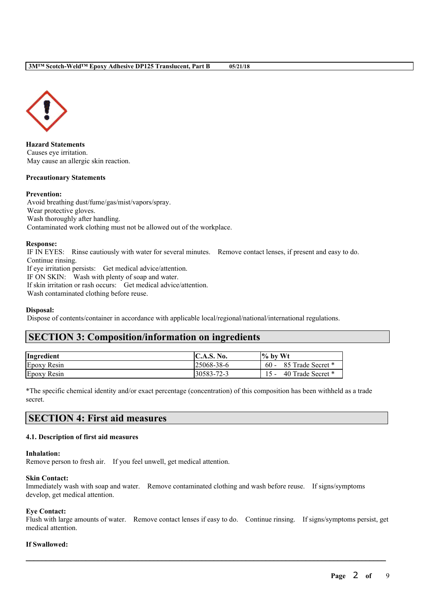

**Hazard Statements** Causes eye irritation. May cause an allergic skin reaction.

#### **Precautionary Statements**

## **Prevention:**

Avoid breathing dust/fume/gas/mist/vapors/spray. Wear protective gloves. Wash thoroughly after handling. Contaminated work clothing must not be allowed out of the workplace.

#### **Response:**

IF IN EYES: Rinse cautiously with water for several minutes. Remove contact lenses, if present and easy to do. Continue rinsing.

If eye irritation persists: Get medical advice/attention.

IF ON SKIN: Wash with plenty of soap and water.

If skin irritation or rash occurs: Get medical advice/attention.

Wash contaminated clothing before reuse.

# **Disposal:**

Dispose of contents/container in accordance with applicable local/regional/national/international regulations.

# **SECTION 3: Composition/information on ingredients**

| Ingredient         | C.A.S. No. | $\frac{1}{2}$ by Wt         |
|--------------------|------------|-----------------------------|
| <b>Epoxy Resin</b> | 25068-38-6 | 85 Trade Secret *<br>$60 -$ |
| <b>Epoxy Resin</b> | 30583-72-3 | 40 Trade Secret *           |

\*The specific chemical identity and/or exact percentage (concentration) of this composition has been withheld as a trade secret.

# **SECTION 4: First aid measures**

# **4.1. Description of first aid measures**

#### **Inhalation:**

Remove person to fresh air. If you feel unwell, get medical attention.

#### **Skin Contact:**

Immediately wash with soap and water. Remove contaminated clothing and wash before reuse. If signs/symptoms develop, get medical attention.

# **Eye Contact:**

Flush with large amounts of water. Remove contact lenses if easy to do. Continue rinsing. If signs/symptoms persist, get medical attention.

 $\mathcal{L}_\mathcal{L} = \mathcal{L}_\mathcal{L} = \mathcal{L}_\mathcal{L} = \mathcal{L}_\mathcal{L} = \mathcal{L}_\mathcal{L} = \mathcal{L}_\mathcal{L} = \mathcal{L}_\mathcal{L} = \mathcal{L}_\mathcal{L} = \mathcal{L}_\mathcal{L} = \mathcal{L}_\mathcal{L} = \mathcal{L}_\mathcal{L} = \mathcal{L}_\mathcal{L} = \mathcal{L}_\mathcal{L} = \mathcal{L}_\mathcal{L} = \mathcal{L}_\mathcal{L} = \mathcal{L}_\mathcal{L} = \mathcal{L}_\mathcal{L}$ 

# **If Swallowed:**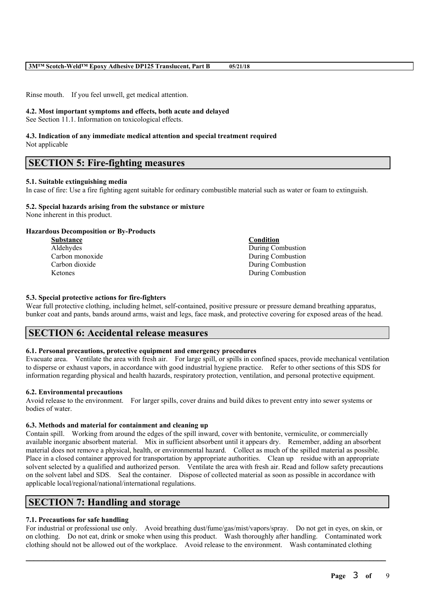Rinse mouth. If you feel unwell, get medical attention.

#### **4.2. Most important symptoms and effects, both acute and delayed**

See Section 11.1. Information on toxicological effects.

#### **4.3. Indication of any immediate medical attention and special treatment required** Not applicable

**SECTION 5: Fire-fighting measures**

# **5.1. Suitable extinguishing media**

In case of fire: Use a fire fighting agent suitable for ordinary combustible material such as water or foam to extinguish.

# **5.2. Special hazards arising from the substance or mixture**

None inherent in this product.

# **Hazardous Decomposition or By-Products**

| <b>Substance</b> | Condition         |
|------------------|-------------------|
| Aldehydes        | During Combustion |
| Carbon monoxide  | During Combustion |
| Carbon dioxide   | During Combustion |
| <b>Ketones</b>   | During Combustion |

# **5.3. Special protective actions for fire-fighters**

Wear full protective clothing, including helmet, self-contained, positive pressure or pressure demand breathing apparatus, bunker coat and pants, bands around arms, waist and legs, face mask, and protective covering for exposed areas of the head.

# **SECTION 6: Accidental release measures**

## **6.1. Personal precautions, protective equipment and emergency procedures**

Evacuate area. Ventilate the area with fresh air. For large spill, or spills in confined spaces, provide mechanical ventilation to disperse or exhaust vapors, in accordance with good industrial hygiene practice. Refer to other sections of this SDS for information regarding physical and health hazards, respiratory protection, ventilation, and personal protective equipment.

#### **6.2. Environmental precautions**

Avoid release to the environment. For larger spills, cover drains and build dikes to prevent entry into sewer systems or bodies of water.

#### **6.3. Methods and material for containment and cleaning up**

Contain spill. Working from around the edges of the spill inward, cover with bentonite, vermiculite, or commercially available inorganic absorbent material. Mix in sufficient absorbent until it appears dry. Remember, adding an absorbent material does not remove a physical, health, or environmental hazard. Collect as much of the spilled material as possible. Place in a closed container approved for transportation by appropriate authorities. Clean up residue with an appropriate solvent selected by a qualified and authorized person. Ventilate the area with fresh air. Read and follow safety precautions on the solvent label and SDS. Seal the container. Dispose of collected material as soon as possible in accordance with applicable local/regional/national/international regulations.

# **SECTION 7: Handling and storage**

# **7.1. Precautions for safe handling**

For industrial or professional use only. Avoid breathing dust/fume/gas/mist/vapors/spray. Do not get in eyes, on skin, or on clothing. Do not eat, drink or smoke when using this product. Wash thoroughly after handling. Contaminated work clothing should not be allowed out of the workplace. Avoid release to the environment. Wash contaminated clothing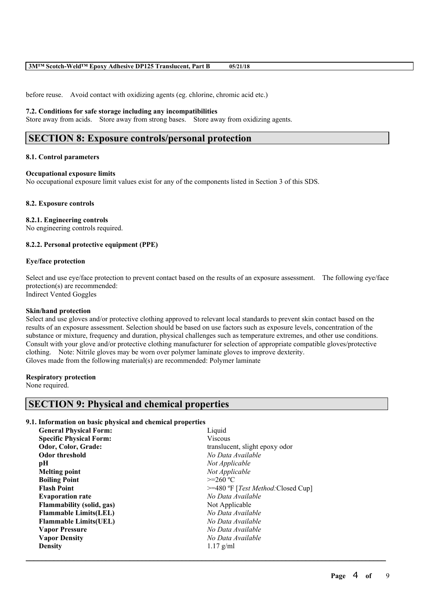before reuse. Avoid contact with oxidizing agents (eg. chlorine, chromic acid etc.)

#### **7.2. Conditions for safe storage including any incompatibilities**

Store away from acids. Store away from strong bases. Store away from oxidizing agents.

# **SECTION 8: Exposure controls/personal protection**

#### **8.1. Control parameters**

#### **Occupational exposure limits**

No occupational exposure limit values exist for any of the components listed in Section 3 of this SDS.

#### **8.2. Exposure controls**

#### **8.2.1. Engineering controls**

No engineering controls required.

# **8.2.2. Personal protective equipment (PPE)**

#### **Eye/face protection**

Select and use eye/face protection to prevent contact based on the results of an exposure assessment. The following eye/face protection(s) are recommended: Indirect Vented Goggles

# **Skin/hand protection**

Select and use gloves and/or protective clothing approved to relevant local standards to prevent skin contact based on the results of an exposure assessment. Selection should be based on use factors such as exposure levels, concentration of the substance or mixture, frequency and duration, physical challenges such as temperature extremes, and other use conditions. Consult with your glove and/or protective clothing manufacturer for selection of appropriate compatible gloves/protective clothing. Note: Nitrile gloves may be worn over polymer laminate gloves to improve dexterity. Gloves made from the following material(s) are recommended: Polymer laminate

 $\mathcal{L}_\mathcal{L} = \mathcal{L}_\mathcal{L} = \mathcal{L}_\mathcal{L} = \mathcal{L}_\mathcal{L} = \mathcal{L}_\mathcal{L} = \mathcal{L}_\mathcal{L} = \mathcal{L}_\mathcal{L} = \mathcal{L}_\mathcal{L} = \mathcal{L}_\mathcal{L} = \mathcal{L}_\mathcal{L} = \mathcal{L}_\mathcal{L} = \mathcal{L}_\mathcal{L} = \mathcal{L}_\mathcal{L} = \mathcal{L}_\mathcal{L} = \mathcal{L}_\mathcal{L} = \mathcal{L}_\mathcal{L} = \mathcal{L}_\mathcal{L}$ 

#### **Respiratory protection**

None required.

# **SECTION 9: Physical and chemical properties**

# **9.1. Information on basic physical and chemical properties**

| Liquid                                        |
|-----------------------------------------------|
| <b>Viscous</b>                                |
| translucent, slight epoxy odor                |
| No Data Available                             |
| Not Applicable                                |
| Not Applicable                                |
| $>=260 °C$                                    |
| $>=$ 480 °F [ <i>Test Method</i> :Closed Cup] |
| No Data Available                             |
| Not Applicable                                |
| No Data Available                             |
| No Data Available                             |
| No Data Available                             |
| No Data Available                             |
| $1.17$ g/ml                                   |
|                                               |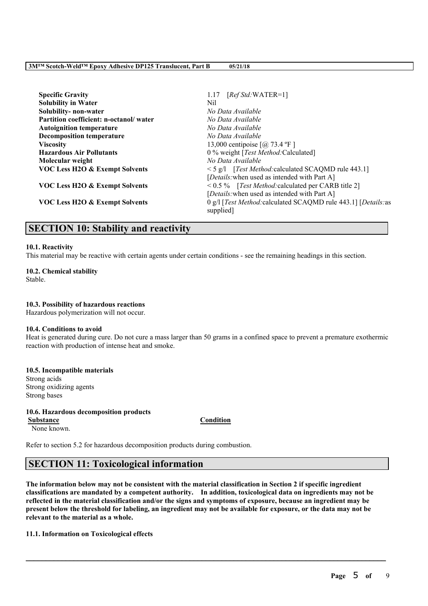| <b>Specific Gravity</b>                   | $[RefStd:WATER=1]$<br>1.17                                                  |
|-------------------------------------------|-----------------------------------------------------------------------------|
| <b>Solubility in Water</b>                | Nil                                                                         |
| Solubility- non-water                     | No Data Available                                                           |
| Partition coefficient: n-octanol/water    | No Data Available                                                           |
| <b>Autoignition temperature</b>           | No Data Available                                                           |
| <b>Decomposition temperature</b>          | No Data Available                                                           |
| <b>Viscosity</b>                          | 13,000 centipoise $[@;73.4 °F]$                                             |
| <b>Hazardous Air Pollutants</b>           | 0 % weight [Test Method: Calculated]                                        |
| Molecular weight                          | No Data Available                                                           |
| <b>VOC Less H2O &amp; Exempt Solvents</b> | $\leq$ 5 g/l [Test Method: calculated SCAQMD rule 443.1]                    |
|                                           | [Details: when used as intended with Part A]                                |
| VOC Less H2O & Exempt Solvents            | $\leq$ 0.5 % [ <i>Test Method:</i> calculated per CARB title 2]             |
|                                           | [Details: when used as intended with Part A]                                |
| VOC Less H2O & Exempt Solvents            | 0 g/l [Test Method: calculated SCAQMD rule 443.1] [Details: as<br>supplied. |

# **SECTION 10: Stability and reactivity**

#### **10.1. Reactivity**

This material may be reactive with certain agents under certain conditions - see the remaining headings in this section.

**10.2. Chemical stability** Stable.

#### **10.3. Possibility of hazardous reactions**

Hazardous polymerization will not occur.

#### **10.4. Conditions to avoid**

Heat is generated during cure. Do not cure a mass larger than 50 grams in a confined space to prevent a premature exothermic reaction with production of intense heat and smoke.

## **10.5. Incompatible materials** Strong acids Strong oxidizing agents Strong bases

**10.6. Hazardous decomposition products Substance Condition** None known.

Refer to section 5.2 for hazardous decomposition products during combustion.

# **SECTION 11: Toxicological information**

The information below may not be consistent with the material classification in Section 2 if specific ingredient **classifications are mandated by a competent authority. In addition, toxicological data on ingredients may not be** reflected in the material classification and/or the signs and symptoms of exposure, because an ingredient may be present below the threshold for labeling, an ingredient may not be available for exposure, or the data may not be **relevant to the material as a whole.**

 $\mathcal{L}_\mathcal{L} = \mathcal{L}_\mathcal{L} = \mathcal{L}_\mathcal{L} = \mathcal{L}_\mathcal{L} = \mathcal{L}_\mathcal{L} = \mathcal{L}_\mathcal{L} = \mathcal{L}_\mathcal{L} = \mathcal{L}_\mathcal{L} = \mathcal{L}_\mathcal{L} = \mathcal{L}_\mathcal{L} = \mathcal{L}_\mathcal{L} = \mathcal{L}_\mathcal{L} = \mathcal{L}_\mathcal{L} = \mathcal{L}_\mathcal{L} = \mathcal{L}_\mathcal{L} = \mathcal{L}_\mathcal{L} = \mathcal{L}_\mathcal{L}$ 

#### **11.1. Information on Toxicological effects**

**Page** 5 **of** 9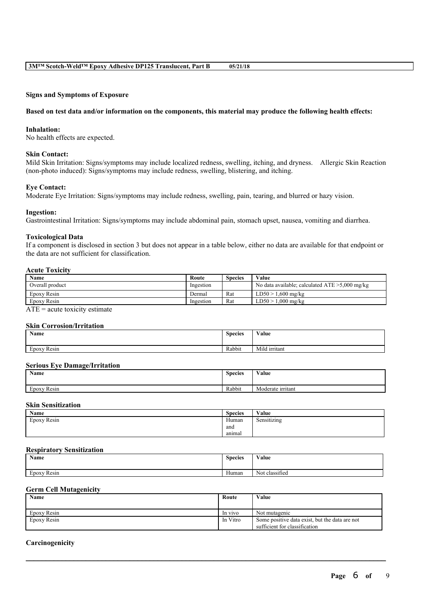#### **Signs and Symptoms of Exposure**

#### Based on test data and/or information on the components, this material may produce the following health effects:

## **Inhalation:**

No health effects are expected.

#### **Skin Contact:**

Mild Skin Irritation: Signs/symptoms may include localized redness, swelling, itching, and dryness. Allergic Skin Reaction (non-photo induced): Signs/symptoms may include redness, swelling, blistering, and itching.

#### **Eye Contact:**

Moderate Eye Irritation: Signs/symptoms may include redness, swelling, pain, tearing, and blurred or hazy vision.

#### **Ingestion:**

Gastrointestinal Irritation: Signs/symptoms may include abdominal pain, stomach upset, nausea, vomiting and diarrhea.

#### **Toxicological Data**

If a component is disclosed in section 3 but does not appear in a table below, either no data are available for that endpoint or the data are not sufficient for classification.

#### **Acute Toxicity**

| <b>Name</b>     | Route     | <b>Species</b> | Value                                             |
|-----------------|-----------|----------------|---------------------------------------------------|
| Overall product | Ingestion |                | No data available; calculated $ATE > 5,000$ mg/kg |
| Epoxy Resin     | Dermal    | Rat            | LD50 > 1.600 mg/kg                                |
| Epoxy Resin     | Ingestion | Rat            | LD50 > 1.000 mg/kg                                |

 $ATE = acute$  toxicity estimate

# **Skin Corrosion/Irritation**

| Name                        | <b>Species</b> | $\mathbf{v}$<br>Value |
|-----------------------------|----------------|-----------------------|
|                             |                |                       |
| $\mathbf{r}$<br>Epoxy Resin | Rabbit         | Mild irritant         |

#### **Serious Eye Damage/Irritation**

| Name                                       | <b>Species</b> | <b>WY 3</b><br>V alue |
|--------------------------------------------|----------------|-----------------------|
| $\sim$<br>$\blacksquare$<br>Resin<br>EDOXV | Rabbit         | Moderate irritant     |

# **Skin Sensitization**

| Name                                  | $\sim$<br><b>Species</b> | Value            |
|---------------------------------------|--------------------------|------------------|
| $\sim$<br>$\mathbf{r}$<br>Epoxy Resin | Human                    | .<br>Sensitizing |
|                                       | and                      |                  |
|                                       | anımal                   |                  |

#### **Respiratory Sensitization**

| Name                             | <b>Species</b>        | Value                                    |
|----------------------------------|-----------------------|------------------------------------------|
| <b>Service</b><br>Resin<br>EDOXV | $\mathbf{v}$<br>Human | $\sim$<br>$\mathbf{v}$<br>Not classified |

## **Germ Cell Mutagenicity**

| Name        | Route    | Value                                          |
|-------------|----------|------------------------------------------------|
|             |          |                                                |
| Epoxy Resin | In vivo  | Not mutagenic                                  |
| Epoxy Resin | In Vitro | Some positive data exist, but the data are not |
|             |          | sufficient for classification                  |

 $\mathcal{L}_\mathcal{L} = \mathcal{L}_\mathcal{L} = \mathcal{L}_\mathcal{L} = \mathcal{L}_\mathcal{L} = \mathcal{L}_\mathcal{L} = \mathcal{L}_\mathcal{L} = \mathcal{L}_\mathcal{L} = \mathcal{L}_\mathcal{L} = \mathcal{L}_\mathcal{L} = \mathcal{L}_\mathcal{L} = \mathcal{L}_\mathcal{L} = \mathcal{L}_\mathcal{L} = \mathcal{L}_\mathcal{L} = \mathcal{L}_\mathcal{L} = \mathcal{L}_\mathcal{L} = \mathcal{L}_\mathcal{L} = \mathcal{L}_\mathcal{L}$ 

#### **Carcinogenicity**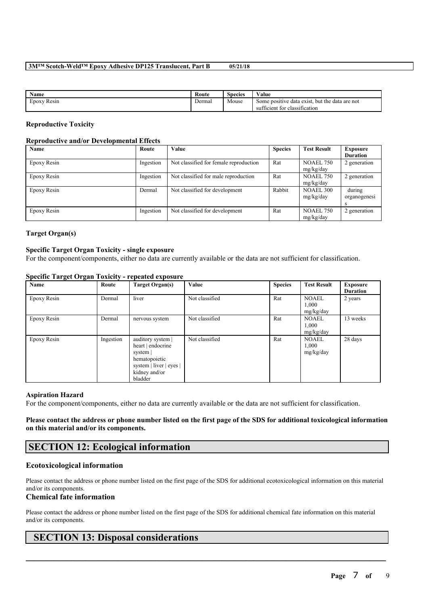| <b>Name</b>           | Route  | $\sim$<br>Species | Value                                                                                          |
|-----------------------|--------|-------------------|------------------------------------------------------------------------------------------------|
| <b>EDOXV</b><br>Resin | Dermal | Mouse             | Some positive data exist, but the data are not<br>.<br>$\sim$<br>sufficient for classification |

## **Reproductive Toxicity**

#### **Reproductive and/or Developmental Effects**

| Name        | Route     | Value                                  | <b>Species</b> | <b>Test Result</b>            | Exposure               |
|-------------|-----------|----------------------------------------|----------------|-------------------------------|------------------------|
|             |           |                                        |                |                               | <b>Duration</b>        |
| Epoxy Resin | Ingestion | Not classified for female reproduction | Rat            | <b>NOAEL 750</b><br>mg/kg/day | 2 generation           |
| Epoxy Resin | Ingestion | Not classified for male reproduction   | Rat            | <b>NOAEL 750</b><br>mg/kg/day | 2 generation           |
| Epoxy Resin | Dermal    | Not classified for development         | Rabbit         | <b>NOAEL 300</b><br>mg/kg/day | during<br>organogenesi |
| Epoxy Resin | Ingestion | Not classified for development         | Rat            | <b>NOAEL 750</b><br>mg/kg/day | 2 generation           |

# **Target Organ(s)**

#### **Specific Target Organ Toxicity - single exposure**

For the component/components, either no data are currently available or the data are not sufficient for classification.

| Name        | Route     | Target Organ(s)                                                                                                            | Value          | <b>Species</b> | <b>Test Result</b>                 | <b>Exposure</b><br><b>Duration</b> |
|-------------|-----------|----------------------------------------------------------------------------------------------------------------------------|----------------|----------------|------------------------------------|------------------------------------|
| Epoxy Resin | Dermal    | liver                                                                                                                      | Not classified | Rat            | <b>NOAEL</b><br>1,000<br>mg/kg/day | 2 years                            |
| Epoxy Resin | Dermal    | nervous system                                                                                                             | Not classified | Rat            | <b>NOAEL</b><br>1.000<br>mg/kg/day | 13 weeks                           |
| Epoxy Resin | Ingestion | auditory system  <br>heart   endocrine<br>system  <br>hematopoietic<br>system   liver   eyes  <br>kidney and/or<br>bladder | Not classified | Rat            | <b>NOAEL</b><br>1,000<br>mg/kg/day | 28 days                            |

# **Specific Target Organ Toxicity - repeated exposure**

#### **Aspiration Hazard**

For the component/components, either no data are currently available or the data are not sufficient for classification.

Please contact the address or phone number listed on the first page of the SDS for additional toxicological information **on this material and/or its components.**

# **SECTION 12: Ecological information**

# **Ecotoxicological information**

Please contact the address or phone number listed on the first page of the SDS for additional ecotoxicological information on this material and/or its components.

# **Chemical fate information**

Please contact the address or phone number listed on the first page of the SDS for additional chemical fate information on this material and/or its components.

 $\mathcal{L}_\mathcal{L} = \mathcal{L}_\mathcal{L} = \mathcal{L}_\mathcal{L} = \mathcal{L}_\mathcal{L} = \mathcal{L}_\mathcal{L} = \mathcal{L}_\mathcal{L} = \mathcal{L}_\mathcal{L} = \mathcal{L}_\mathcal{L} = \mathcal{L}_\mathcal{L} = \mathcal{L}_\mathcal{L} = \mathcal{L}_\mathcal{L} = \mathcal{L}_\mathcal{L} = \mathcal{L}_\mathcal{L} = \mathcal{L}_\mathcal{L} = \mathcal{L}_\mathcal{L} = \mathcal{L}_\mathcal{L} = \mathcal{L}_\mathcal{L}$ 

# **SECTION 13: Disposal considerations**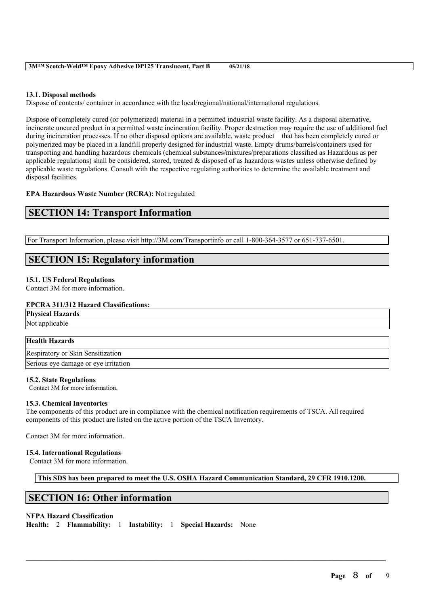## **13.1. Disposal methods**

Dispose of contents/ container in accordance with the local/regional/national/international regulations.

Dispose of completely cured (or polymerized) material in a permitted industrial waste facility. As a disposal alternative, incinerate uncured product in a permitted waste incineration facility. Proper destruction may require the use of additional fuel during incineration processes. If no other disposal options are available, waste product that has been completely cured or polymerized may be placed in a landfill properly designed for industrial waste. Empty drums/barrels/containers used for transporting and handling hazardous chemicals (chemical substances/mixtures/preparations classified as Hazardous as per applicable regulations) shall be considered, stored, treated  $\&$  disposed of as hazardous wastes unless otherwise defined by applicable waste regulations. Consult with the respective regulating authorities to determine the available treatment and disposal facilities.

# **EPA Hazardous Waste Number (RCRA):** Not regulated

# **SECTION 14: Transport Information**

For Transport Information, please visit http://3M.com/Transportinfo or call 1-800-364-3577 or 651-737-6501.

# **SECTION 15: Regulatory information**

# **15.1. US Federal Regulations**

Contact 3M for more information.

# **EPCRA 311/312 Hazard Classifications:**

**Physical Hazards** Not applicable

# **Health Hazards**

Respiratory or Skin Sensitization Serious eye damage or eye irritation

#### **15.2. State Regulations**

Contact 3M for more information.

#### **15.3. Chemical Inventories**

The components of this product are in compliance with the chemical notification requirements of TSCA. All required components of this product are listed on the active portion of the TSCA Inventory.

Contact 3M for more information.

#### **15.4. International Regulations**

Contact 3M for more information.

**This SDS has been prepared to meet the U.S. OSHA Hazard Communication Standard, 29 CFR 1910.1200.**

 $\mathcal{L}_\mathcal{L} = \mathcal{L}_\mathcal{L} = \mathcal{L}_\mathcal{L} = \mathcal{L}_\mathcal{L} = \mathcal{L}_\mathcal{L} = \mathcal{L}_\mathcal{L} = \mathcal{L}_\mathcal{L} = \mathcal{L}_\mathcal{L} = \mathcal{L}_\mathcal{L} = \mathcal{L}_\mathcal{L} = \mathcal{L}_\mathcal{L} = \mathcal{L}_\mathcal{L} = \mathcal{L}_\mathcal{L} = \mathcal{L}_\mathcal{L} = \mathcal{L}_\mathcal{L} = \mathcal{L}_\mathcal{L} = \mathcal{L}_\mathcal{L}$ 

# **SECTION 16: Other information**

#### **NFPA Hazard Classification**

**Health:** 2 **Flammability:** 1 **Instability:** 1 **Special Hazards:** None